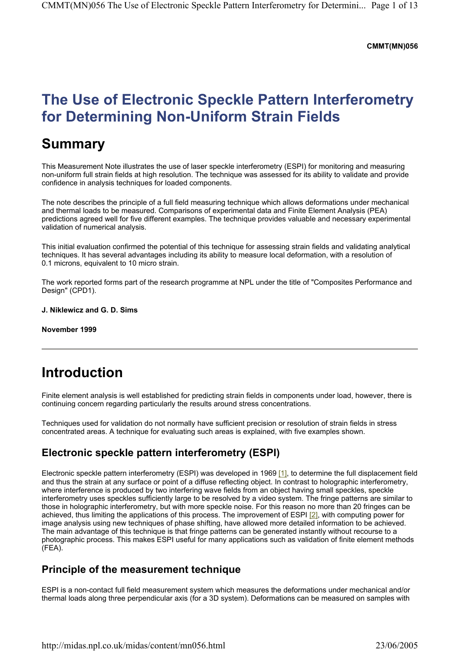#### **CMMT(MN)056**

# **The Use of Electronic Speckle Pattern Interferometry for Determining Non-Uniform Strain Fields**

## **Summary**

This Measurement Note illustrates the use of laser speckle interferometry (ESPI) for monitoring and measuring non-uniform full strain fields at high resolution. The technique was assessed for its ability to validate and provide confidence in analysis techniques for loaded components.

The note describes the principle of a full field measuring technique which allows deformations under mechanical and thermal loads to be measured. Comparisons of experimental data and Finite Element Analysis (PEA) predictions agreed well for five different examples. The technique provides valuable and necessary experimental validation of numerical analysis.

This initial evaluation confirmed the potential of this technique for assessing strain fields and validating analytical techniques. It has several advantages including its ability to measure local deformation, with a resolution of 0.1 microns, equivalent to 10 micro strain.

The work reported forms part of the research programme at NPL under the title of "Composites Performance and Design" (CPD1).

#### **J. Niklewicz and G. D. Sims**

#### **November 1999**

## **Introduction**

Finite element analysis is well established for predicting strain fields in components under load, however, there is continuing concern regarding particularly the results around stress concentrations.

Techniques used for validation do not normally have sufficient precision or resolution of strain fields in stress concentrated areas. A technique for evaluating such areas is explained, with five examples shown.

### **Electronic speckle pattern interferometry (ESPI)**

Electronic speckle pattern interferometry (ESPI) was developed in 1969 [1], to determine the full displacement field and thus the strain at any surface or point of a diffuse reflecting object. In contrast to holographic interferometry, where interference is produced by two interfering wave fields from an object having small speckles, speckle interferometry uses speckles sufficiently large to be resolved by a video system. The fringe patterns are similar to those in holographic interferometry, but with more speckle noise. For this reason no more than 20 fringes can be achieved, thus limiting the applications of this process. The improvement of ESPI [2], with computing power for image analysis using new techniques of phase shifting, have allowed more detailed information to be achieved. The main advantage of this technique is that fringe patterns can be generated instantly without recourse to a photographic process. This makes ESPI useful for many applications such as validation of finite element methods (FEA).

### **Principle of the measurement technique**

ESPI is a non-contact full field measurement system which measures the deformations under mechanical and/or thermal loads along three perpendicular axis (for a 3D system). Deformations can be measured on samples with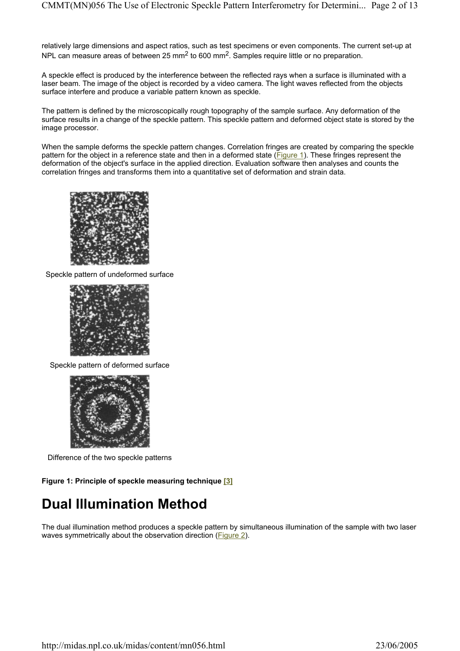relatively large dimensions and aspect ratios, such as test specimens or even components. The current set-up at NPL can measure areas of between 25 mm<sup>2</sup> to 600 mm<sup>2</sup>. Samples require little or no preparation.

A speckle effect is produced by the interference between the reflected rays when a surface is illuminated with a laser beam. The image of the object is recorded by a video camera. The light waves reflected from the objects surface interfere and produce a variable pattern known as speckle.

The pattern is defined by the microscopically rough topography of the sample surface. Any deformation of the surface results in a change of the speckle pattern. This speckle pattern and deformed object state is stored by the image processor.

When the sample deforms the speckle pattern changes. Correlation fringes are created by comparing the speckle pattern for the object in a reference state and then in a deformed state (Figure 1). These fringes represent the deformation of the object's surface in the applied direction. Evaluation software then analyses and counts the correlation fringes and transforms them into a quantitative set of deformation and strain data.



Speckle pattern of undeformed surface



Speckle pattern of deformed surface



Difference of the two speckle patterns

**Figure 1: Principle of speckle measuring technique [3]**

## **Dual Illumination Method**

The dual illumination method produces a speckle pattern by simultaneous illumination of the sample with two laser waves symmetrically about the observation direction (Figure 2).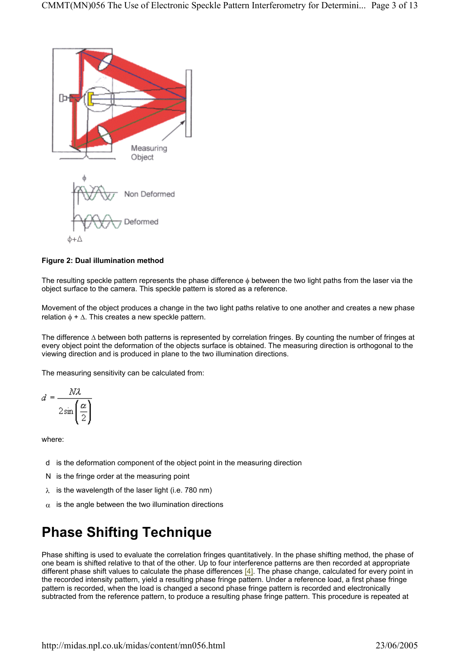

### **Figure 2: Dual illumination method**

The resulting speckle pattern represents the phase difference  $_{\Phi}$  between the two light paths from the laser via the object surface to the camera. This speckle pattern is stored as a reference.

Movement of the object produces a change in the two light paths relative to one another and creates a new phase relation  $\phi + \Delta$ . This creates a new speckle pattern.

The difference ∆ between both patterns is represented by correlation fringes. By counting the number of fringes at every object point the deformation of the objects surface is obtained. The measuring direction is orthogonal to the viewing direction and is produced in plane to the two illumination directions.

The measuring sensitivity can be calculated from:

$$
d = \frac{N\lambda}{2\sin\left(\frac{\alpha}{2}\right)}
$$

where:

- d is the deformation component of the object point in the measuring direction
- N is the fringe order at the measuring point
- $\lambda$  is the wavelength of the laser light (i.e. 780 nm)
- $\alpha$  is the angle between the two illumination directions

# **Phase Shifting Technique**

Phase shifting is used to evaluate the correlation fringes quantitatively. In the phase shifting method, the phase of one beam is shifted relative to that of the other. Up to four interference patterns are then recorded at appropriate different phase shift values to calculate the phase differences [4]. The phase change, calculated for every point in the recorded intensity pattern, yield a resulting phase fringe pattern. Under a reference load, a first phase fringe pattern is recorded, when the load is changed a second phase fringe pattern is recorded and electronically subtracted from the reference pattern, to produce a resulting phase fringe pattern. This procedure is repeated at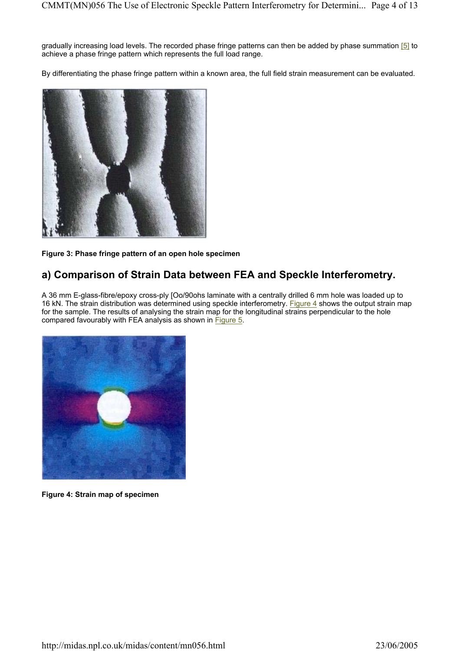gradually increasing load levels. The recorded phase fringe patterns can then be added by phase summation [5] to achieve a phase fringe pattern which represents the full load range.

By differentiating the phase fringe pattern within a known area, the full field strain measurement can be evaluated.



**Figure 3: Phase fringe pattern of an open hole specimen** 

## **a) Comparison of Strain Data between FEA and Speckle Interferometry.**

A 36 mm E-glass-fibre/epoxy cross-ply [Oo/90ohs laminate with a centrally drilled 6 mm hole was loaded up to 16 kN. The strain distribution was determined using speckle interferometry. Figure 4 shows the output strain map for the sample. The results of analysing the strain map for the longitudinal strains perpendicular to the hole compared favourably with FEA analysis as shown in Figure 5.



**Figure 4: Strain map of specimen**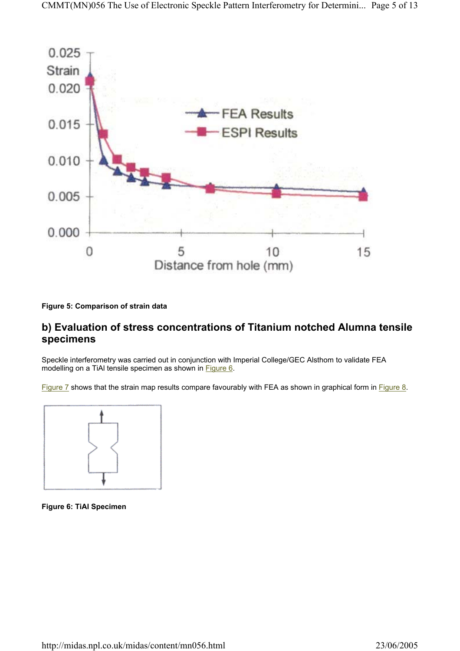

**Figure 5: Comparison of strain data** 

### **b) Evaluation of stress concentrations of Titanium notched Alumna tensile specimens**

Speckle interferometry was carried out in conjunction with Imperial College/GEC Alsthom to validate FEA modelling on a TiAI tensile specimen as shown in Figure 6.

Figure 7 shows that the strain map results compare favourably with FEA as shown in graphical form in Figure 8.



**Figure 6: TiAl Specimen**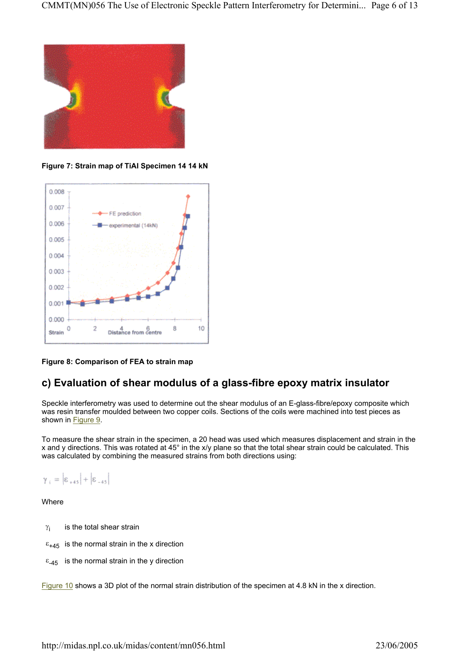

**Figure 7: Strain map of TiAI Specimen 14 14 kN** 



**Figure 8: Comparison of FEA to strain map** 

### **c) Evaluation of shear modulus of a glass-fibre epoxy matrix insulator**

Speckle interferometry was used to determine out the shear modulus of an E-glass-fibre/epoxy composite which was resin transfer moulded between two copper coils. Sections of the coils were machined into test pieces as shown in **Figure 9**.

To measure the shear strain in the specimen, a 20 head was used which measures displacement and strain in the x and y directions. This was rotated at 45° in the x/y plane so that the total shear strain could be calculated. This was calculated by combining the measured strains from both directions using:

$$
\gamma_{+}=\left|\epsilon_{+45}\right|+\left|\epsilon_{-45}\right|
$$

Where

- $\gamma_i$  is the total shear strain
- $\epsilon_{+45}$  is the normal strain in the x direction
- $ε<sub>-45</sub>$  is the normal strain in the y direction

Figure 10 shows a 3D plot of the normal strain distribution of the specimen at 4.8 kN in the x direction.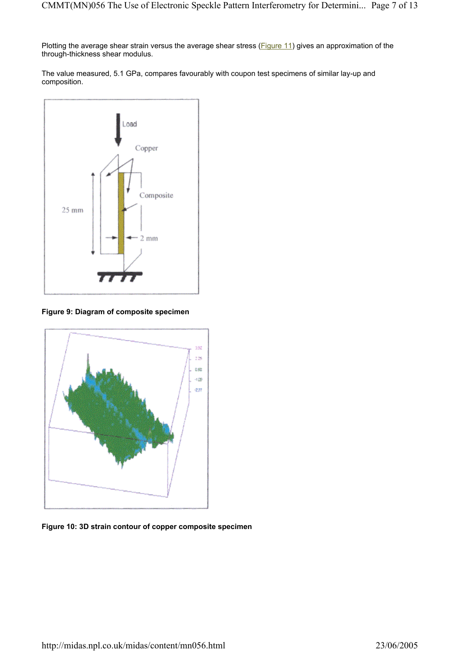Plotting the average shear strain versus the average shear stress (Figure 11) gives an approximation of the through-thickness shear modulus.

The value measured, 5.1 GPa, compares favourably with coupon test specimens of similar lay-up and composition.



**Figure 9: Diagram of composite specimen** 



**Figure 10: 3D strain contour of copper composite specimen**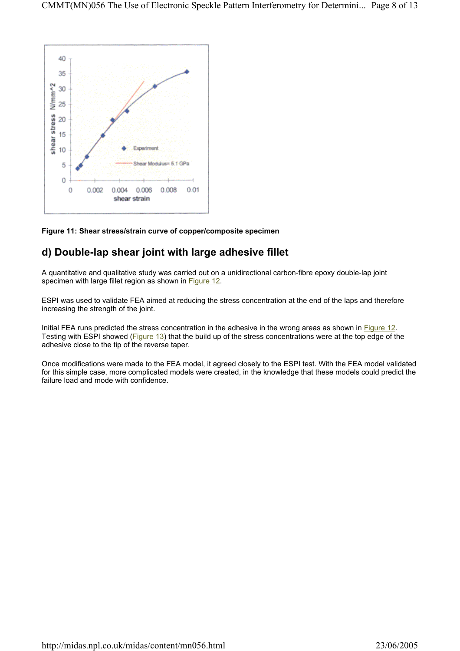

#### **Figure 11: Shear stress/strain curve of copper/composite specimen**

### **d) Double-lap shear joint with large adhesive fillet**

A quantitative and qualitative study was carried out on a unidirectional carbon-fibre epoxy double-lap joint specimen with large fillet region as shown in Figure 12.

ESPI was used to validate FEA aimed at reducing the stress concentration at the end of the laps and therefore increasing the strength of the joint.

Initial FEA runs predicted the stress concentration in the adhesive in the wrong areas as shown in Figure 12. Testing with ESPI showed (Figure 13) that the build up of the stress concentrations were at the top edge of the adhesive close to the tip of the reverse taper.

Once modifications were made to the FEA model, it agreed closely to the ESPI test. With the FEA model validated for this simple case, more complicated models were created, in the knowledge that these models could predict the failure load and mode with confidence.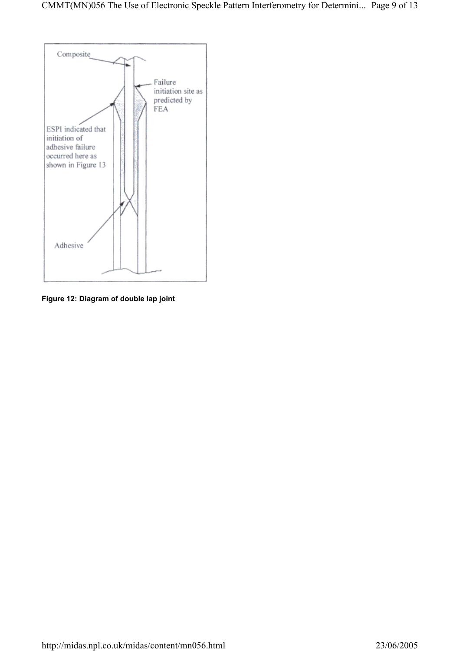

**Figure 12: Diagram of double lap joint**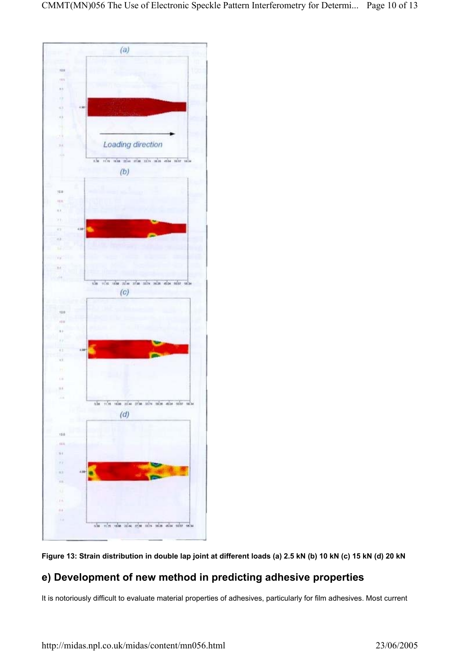



### **e) Development of new method in predicting adhesive properties**

It is notoriously difficult to evaluate material properties of adhesives, particularly for film adhesives. Most current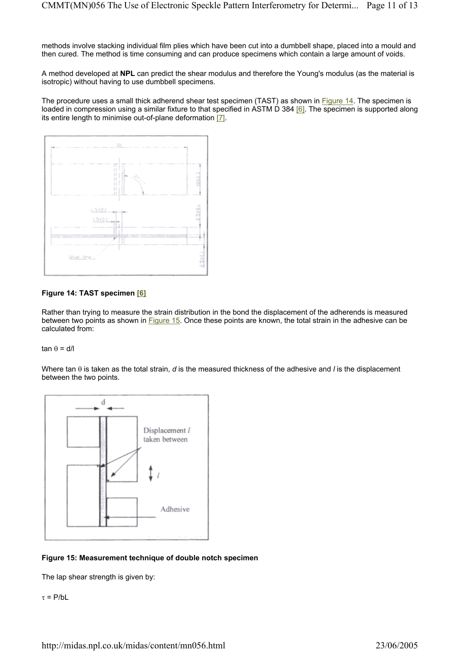methods involve stacking individual film plies which have been cut into a dumbbell shape, placed into a mould and then cured. The method is time consuming and can produce specimens which contain a large amount of voids.

A method developed at **NPL** can predict the shear modulus and therefore the Young's modulus (as the material is isotropic) without having to use dumbbell specimens.

The procedure uses a small thick adherend shear test specimen (TAST) as shown in Figure 14. The specimen is loaded in compression using a similar fixture to that specified in  $\overrightarrow{ASTM}$  D 384 [6]. The specimen is supported along its entire length to minimise out-of-plane deformation [7].



### **Figure 14: TAST specimen [6]**

Rather than trying to measure the strain distribution in the bond the displacement of the adherends is measured between two points as shown in Figure 15. Once these points are known, the total strain in the adhesive can be calculated from:

#### tan θ = d/l

Where tan θ is taken as the total strain, *d* is the measured thickness of the adhesive and *l* is the displacement between the two points.



#### **Figure 15: Measurement technique of double notch specimen**

The lap shear strength is given by:

τ = P/bL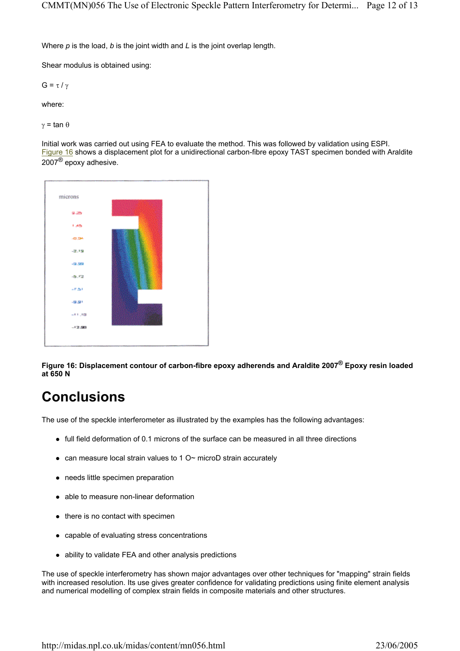Where *p* is the load, *b* is the joint width and *L* is the joint overlap length.

Shear modulus is obtained using:

G = τ / γ

where:

γ = tan θ

Initial work was carried out using FEA to evaluate the method. This was followed by validation using ESPI. Figure 16 shows a displacement plot for a unidirectional carbon-fibre epoxy TAST specimen bonded with Araldite  $2007^{\circledR}$  epoxy adhesive.



**Figure 16: Displacement contour of carbon-fibre epoxy adherends and Araldite 2007® Epoxy resin loaded at 650 N** 

# **Conclusions**

The use of the speckle interferometer as illustrated by the examples has the following advantages:

- full field deformation of 0.1 microns of the surface can be measured in all three directions
- can measure local strain values to 1  $O<sub>~</sub>$  microD strain accurately
- $\bullet$  needs little specimen preparation
- able to measure non-linear deformation
- $\bullet$  there is no contact with specimen
- capable of evaluating stress concentrations
- ability to validate FEA and other analysis predictions

The use of speckle interferometry has shown major advantages over other techniques for "mapping" strain fields with increased resolution. Its use gives greater confidence for validating predictions using finite element analysis and numerical modelling of complex strain fields in composite materials and other structures.